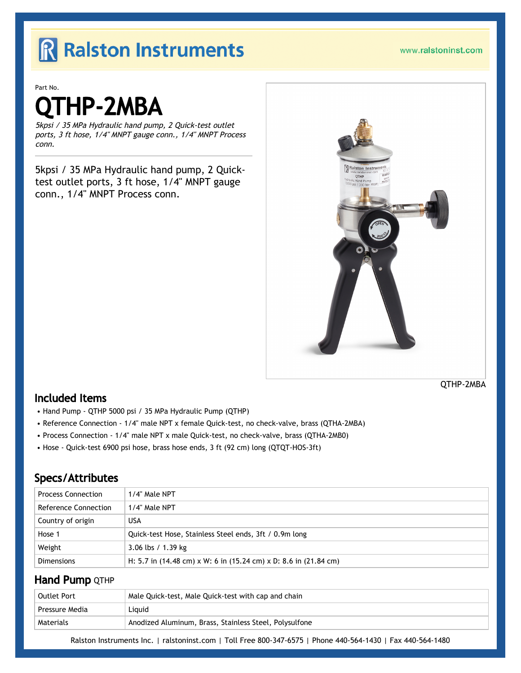## R Ralston Instruments

Part No.

# THP-2MBA

5kpsi / 35 MPa Hydraulic hand pump, 2 Quick-test outlet ports, 3 ft hose, 1/4" MNPT gauge conn., 1/4" MNPT Process conn.

5kpsi / 35 MPa Hydraulic hand pump, 2 Quicktest outlet ports, 3 ft hose, 1/4" MNPT gauge conn., 1/4" MNPT Process conn.



#### QTHP-2MBA

### Included Items

- Hand Pump QTHP 5000 psi / 35 MPa Hydraulic Pump (QTHP)
- Reference Connection 1/4" male NPT x female Quick-test, no check-valve, brass (QTHA-2MBA)
- Process Connection 1/4" male NPT x male Quick-test, no check-valve, brass (QTHA-2MB0)
- Hose Quick-test 6900 psi hose, brass hose ends, 3 ft (92 cm) long (QTQT-HOS-3ft)

## Specs/Attributes

| <b>Process Connection</b> | 1/4" Male NPT                                                    |
|---------------------------|------------------------------------------------------------------|
| Reference Connection      | 1/4" Male NPT                                                    |
| Country of origin         | USA                                                              |
| Hose 1                    | Quick-test Hose, Stainless Steel ends, 3ft / 0.9m long           |
| Weight                    | $3.06$ lbs / 1.39 kg                                             |
| <b>Dimensions</b>         | H: 5.7 in (14.48 cm) x W: 6 in (15.24 cm) x D: 8.6 in (21.84 cm) |

### **Hand Pump QTHP**

| Outlet Port    | Male Quick-test, Male Quick-test with cap and chain    |
|----------------|--------------------------------------------------------|
| Pressure Media | Liguid                                                 |
| Materials      | Anodized Aluminum, Brass, Stainless Steel, Polysulfone |

Ralston Instruments Inc. | [ralstoninst.com](https://www.ralstoninst.com) | Toll Free 800-347-6575 | Phone 440-564-1430 | Fax 440-564-1480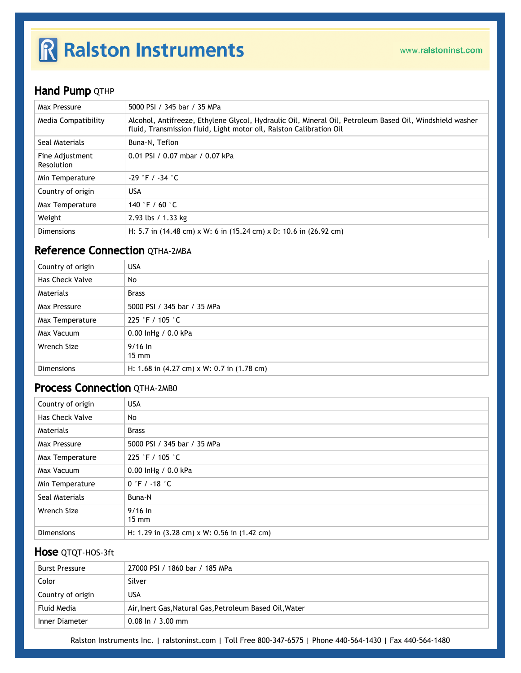# R Ralston Instruments

## **Hand Pump QTHP**

| Max Pressure                  | 5000 PSI / 345 bar / 35 MPa                                                                                                                                                     |
|-------------------------------|---------------------------------------------------------------------------------------------------------------------------------------------------------------------------------|
| Media Compatibility           | Alcohol, Antifreeze, Ethylene Glycol, Hydraulic Oil, Mineral Oil, Petroleum Based Oil, Windshield washer<br>fluid, Transmission fluid, Light motor oil, Ralston Calibration Oil |
| Seal Materials                | Buna-N, Teflon                                                                                                                                                                  |
| Fine Adjustment<br>Resolution | 0.01 PSI / 0.07 mbar / 0.07 kPa                                                                                                                                                 |
| Min Temperature               | $-29$ $\degree$ F / $-34$ $\degree$ C                                                                                                                                           |
| Country of origin             | <b>USA</b>                                                                                                                                                                      |
| Max Temperature               | 140 °F / 60 $^{\circ}$ C                                                                                                                                                        |
| Weight                        | 2.93 lbs / 1.33 kg                                                                                                                                                              |
| <b>Dimensions</b>             | H: 5.7 in (14.48 cm) x W: 6 in (15.24 cm) x D: 10.6 in (26.92 cm)                                                                                                               |

## Reference Connection QTHA-2MBA

| Country of origin | <b>USA</b>                                                           |
|-------------------|----------------------------------------------------------------------|
| Has Check Valve   | No                                                                   |
| Materials         | <b>Brass</b>                                                         |
| Max Pressure      | 5000 PSI / 345 bar / 35 MPa                                          |
| Max Temperature   | 225 °F / 105 °C                                                      |
| Max Vacuum        | 0.00 lnHg / 0.0 kPa                                                  |
| Wrench Size       | $9/16 \ln$<br>$15 \text{ mm}$                                        |
| <b>Dimensions</b> | H: 1.68 in $(4.27 \text{ cm}) \times W$ : 0.7 in $(1.78 \text{ cm})$ |

### **Process Connection OTHA-2MB0**

| Country of origin      | <b>USA</b>                                                            |
|------------------------|-----------------------------------------------------------------------|
| <b>Has Check Valve</b> | No                                                                    |
| Materials              | <b>Brass</b>                                                          |
| Max Pressure           | 5000 PSI / 345 bar / 35 MPa                                           |
| Max Temperature        | 225 °F / 105 °C                                                       |
| Max Vacuum             | 0.00 InHg / 0.0 kPa                                                   |
| Min Temperature        | $0 \degree$ F / -18 $\degree$ C                                       |
| Seal Materials         | Buna-N                                                                |
| Wrench Size            | $9/16$ In<br>$15 \text{ mm}$                                          |
| <b>Dimensions</b>      | H: 1.29 in $(3.28 \text{ cm}) \times W$ : 0.56 in $(1.42 \text{ cm})$ |

#### Hose QTQT-HOS-3ft

| <b>Burst Pressure</b> | 27000 PSI / 1860 bar / 185 MPa                          |
|-----------------------|---------------------------------------------------------|
| Color                 | Silver                                                  |
| Country of origin     | USA                                                     |
| Fluid Media           | Air, Inert Gas, Natural Gas, Petroleum Based Oil, Water |
| Inner Diameter        | $0.08 \ln / 3.00 \text{ mm}$                            |

Ralston Instruments Inc. | [ralstoninst.com](https://www.ralstoninst.com) | Toll Free 800-347-6575 | Phone 440-564-1430 | Fax 440-564-1480